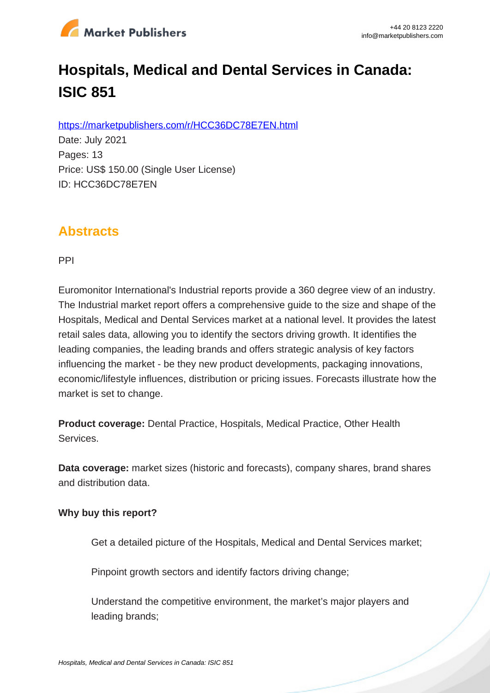

# **Hospitals, Medical and Dental Services in Canada: ISIC 851**

https://marketpublishers.com/r/HCC36DC78E7EN.html

Date: July 2021 Pages: 13 Price: US\$ 150.00 (Single User License) ID: HCC36DC78E7EN

### **Abstracts**

PPI

Euromonitor International's Industrial reports provide a 360 degree view of an industry. The Industrial market report offers a comprehensive guide to the size and shape of the Hospitals, Medical and Dental Services market at a national level. It provides the latest retail sales data, allowing you to identify the sectors driving growth. It identifies the leading companies, the leading brands and offers strategic analysis of key factors influencing the market - be they new product developments, packaging innovations, economic/lifestyle influences, distribution or pricing issues. Forecasts illustrate how the market is set to change.

**Product coverage:** Dental Practice, Hospitals, Medical Practice, Other Health Services.

**Data coverage:** market sizes (historic and forecasts), company shares, brand shares and distribution data.

#### **Why buy this report?**

Get a detailed picture of the Hospitals, Medical and Dental Services market;

Pinpoint growth sectors and identify factors driving change:

Understand the competitive environment, the market's major players and leading brands;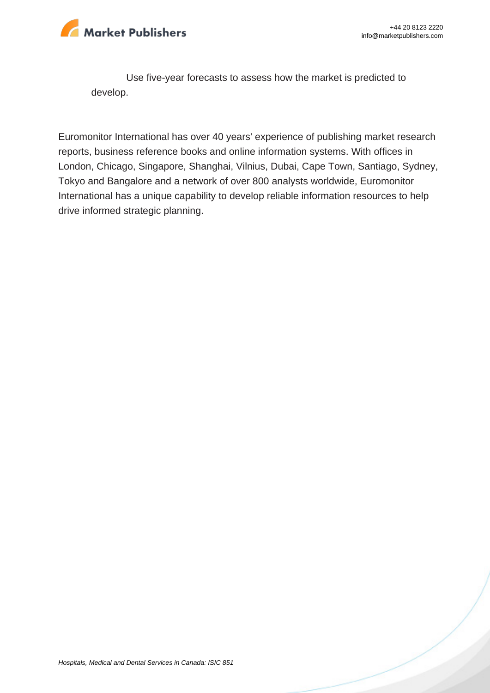

Use five-year forecasts to assess how the market is predicted to develop.

Euromonitor International has over 40 years' experience of publishing market research reports, business reference books and online information systems. With offices in London, Chicago, Singapore, Shanghai, Vilnius, Dubai, Cape Town, Santiago, Sydney, Tokyo and Bangalore and a network of over 800 analysts worldwide, Euromonitor International has a unique capability to develop reliable information resources to help drive informed strategic planning.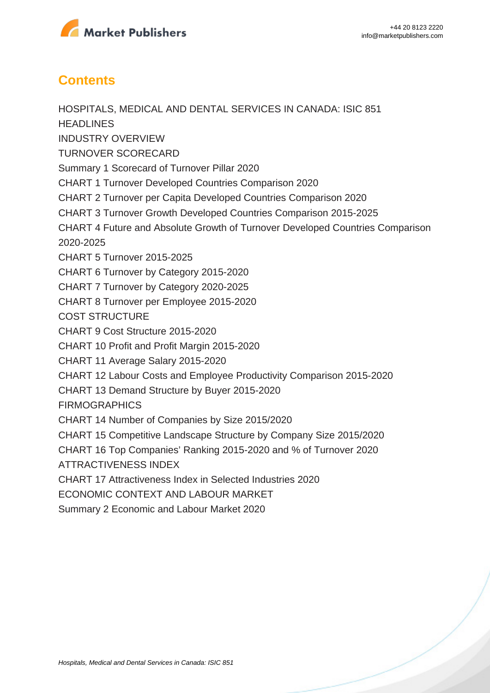

## **Contents**

HOSPITALS, MEDICAL AND DENTAL SERVICES IN CANADA: ISIC 851 **HEADLINES** INDUSTRY OVERVIEW TURNOVER SCORECARD Summary 1 Scorecard of Turnover Pillar 2020 CHART 1 Turnover Developed Countries Comparison 2020 CHART 2 Turnover per Capita Developed Countries Comparison 2020 CHART 3 Turnover Growth Developed Countries Comparison 2015-2025 CHART 4 Future and Absolute Growth of Turnover Developed Countries Comparison 2020-2025 CHART 5 Turnover 2015-2025 CHART 6 Turnover by Category 2015-2020 CHART 7 Turnover by Category 2020-2025 CHART 8 Turnover per Employee 2015-2020 COST STRUCTURE CHART 9 Cost Structure 2015-2020 CHART 10 Profit and Profit Margin 2015-2020 CHART 11 Average Salary 2015-2020 CHART 12 Labour Costs and Employee Productivity Comparison 2015-2020 CHART 13 Demand Structure by Buyer 2015-2020 FIRMOGRAPHICS CHART 14 Number of Companies by Size 2015/2020 CHART 15 Competitive Landscape Structure by Company Size 2015/2020 CHART 16 Top Companies' Ranking 2015-2020 and % of Turnover 2020 ATTRACTIVENESS INDEX CHART 17 Attractiveness Index in Selected Industries 2020 ECONOMIC CONTEXT AND LABOUR MARKET Summary 2 Economic and Labour Market 2020